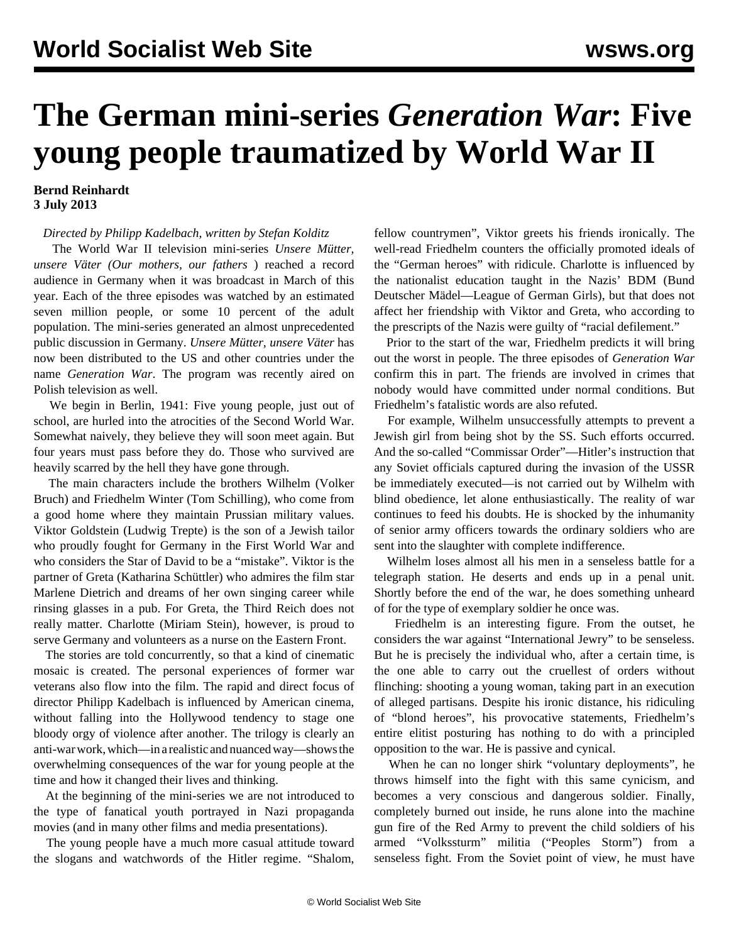## **The German mini-series** *Generation War***: Five young people traumatized by World War II**

## **Bernd Reinhardt 3 July 2013**

*Directed by Philipp Kadelbach, written by Stefan Kolditz*

 The World War II television mini-series *Unsere Mütter, unsere Väter (Our mothers, our fathers* ) reached a record audience in Germany when it was broadcast in March of this year. Each of the three episodes was watched by an estimated seven million people, or some 10 percent of the adult population. The mini-series generated an almost unprecedented public discussion in Germany. *Unsere Mütter, unsere Väter* has now been distributed to the US and other countries under the name *Generation War*. The program was recently aired on Polish television as well.

 We begin in Berlin, 1941: Five young people, just out of school, are hurled into the atrocities of the Second World War. Somewhat naively, they believe they will soon meet again. But four years must pass before they do. Those who survived are heavily scarred by the hell they have gone through.

 The main characters include the brothers Wilhelm (Volker Bruch) and Friedhelm Winter (Tom Schilling), who come from a good home where they maintain Prussian military values. Viktor Goldstein (Ludwig Trepte) is the son of a Jewish tailor who proudly fought for Germany in the First World War and who considers the Star of David to be a "mistake". Viktor is the partner of Greta (Katharina Schüttler) who admires the film star Marlene Dietrich and dreams of her own singing career while rinsing glasses in a pub. For Greta, the Third Reich does not really matter. Charlotte (Miriam Stein), however, is proud to serve Germany and volunteers as a nurse on the Eastern Front.

 The stories are told concurrently, so that a kind of cinematic mosaic is created. The personal experiences of former war veterans also flow into the film. The rapid and direct focus of director Philipp Kadelbach is influenced by American cinema, without falling into the Hollywood tendency to stage one bloody orgy of violence after another. The trilogy is clearly an anti-war work, which—in a realistic and nuanced way—shows the overwhelming consequences of the war for young people at the time and how it changed their lives and thinking.

 At the beginning of the mini-series we are not introduced to the type of fanatical youth portrayed in Nazi propaganda movies (and in many other films and media presentations).

 The young people have a much more casual attitude toward the slogans and watchwords of the Hitler regime. "Shalom, fellow countrymen", Viktor greets his friends ironically. The well-read Friedhelm counters the officially promoted ideals of the "German heroes" with ridicule. Charlotte is influenced by the nationalist education taught in the Nazis' BDM (Bund Deutscher Mädel—League of German Girls), but that does not affect her friendship with Viktor and Greta, who according to the prescripts of the Nazis were guilty of "racial defilement."

 Prior to the start of the war, Friedhelm predicts it will bring out the worst in people. The three episodes of *Generation War* confirm this in part. The friends are involved in crimes that nobody would have committed under normal conditions. But Friedhelm's fatalistic words are also refuted.

 For example, Wilhelm unsuccessfully attempts to prevent a Jewish girl from being shot by the SS. Such efforts occurred. And the so-called "Commissar Order"—Hitler's instruction that any Soviet officials captured during the invasion of the USSR be immediately executed—is not carried out by Wilhelm with blind obedience, let alone enthusiastically. The reality of war continues to feed his doubts. He is shocked by the inhumanity of senior army officers towards the ordinary soldiers who are sent into the slaughter with complete indifference.

 Wilhelm loses almost all his men in a senseless battle for a telegraph station. He deserts and ends up in a penal unit. Shortly before the end of the war, he does something unheard of for the type of exemplary soldier he once was.

 Friedhelm is an interesting figure. From the outset, he considers the war against "International Jewry" to be senseless. But he is precisely the individual who, after a certain time, is the one able to carry out the cruellest of orders without flinching: shooting a young woman, taking part in an execution of alleged partisans. Despite his ironic distance, his ridiculing of "blond heroes", his provocative statements, Friedhelm's entire elitist posturing has nothing to do with a principled opposition to the war. He is passive and cynical.

 When he can no longer shirk "voluntary deployments", he throws himself into the fight with this same cynicism, and becomes a very conscious and dangerous soldier. Finally, completely burned out inside, he runs alone into the machine gun fire of the Red Army to prevent the child soldiers of his armed "Volkssturm" militia ("Peoples Storm") from a senseless fight. From the Soviet point of view, he must have